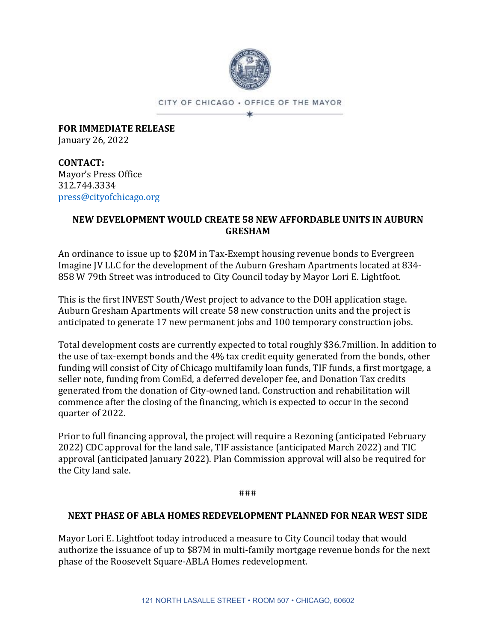

CITY OF CHICAGO . OFFICE OF THE MAYOR ×

**FOR IMMEDIATE RELEASE** January 26, 2022

**CONTACT:** Mayor's Press Office 312.744.3334 [press@cityofchicago.org](mailto:press@cityofchicago.org)

## **NEW DEVELOPMENT WOULD CREATE 58 NEW AFFORDABLE UNITS IN AUBURN GRESHAM**

An ordinance to issue up to \$20M in Tax-Exempt housing revenue bonds to Evergreen Imagine JV LLC for the development of the Auburn Gresham Apartments located at 834- 858 W 79th Street was introduced to City Council today by Mayor Lori E. Lightfoot.

This is the first INVEST South/West project to advance to the DOH application stage. Auburn Gresham Apartments will create 58 new construction units and the project is anticipated to generate 17 new permanent jobs and 100 temporary construction jobs.

Total development costs are currently expected to total roughly \$36.7million. In addition to the use of tax-exempt bonds and the 4% tax credit equity generated from the bonds, other funding will consist of City of Chicago multifamily loan funds, TIF funds, a first mortgage, a seller note, funding from ComEd, a deferred developer fee, and Donation Tax credits generated from the donation of City-owned land. Construction and rehabilitation will commence after the closing of the financing, which is expected to occur in the second quarter of 2022.

Prior to full financing approval, the project will require a Rezoning (anticipated February 2022) CDC approval for the land sale, TIF assistance (anticipated March 2022) and TIC approval (anticipated January 2022). Plan Commission approval will also be required for the City land sale.

###

# **NEXT PHASE OF ABLA HOMES REDEVELOPMENT PLANNED FOR NEAR WEST SIDE**

Mayor Lori E. Lightfoot today introduced a measure to City Council today that would authorize the issuance of up to \$87M in multi-family mortgage revenue bonds for the next phase of the Roosevelt Square-ABLA Homes redevelopment.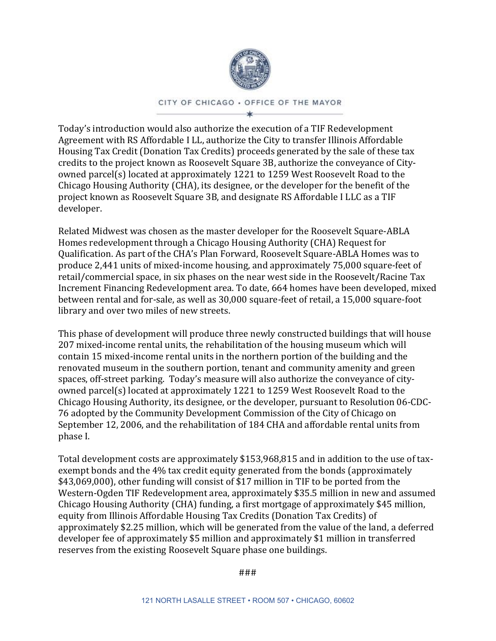

### CITY OF CHICAGO . OFFICE OF THE MAYOR

Today's introduction would also authorize the execution of a TIF Redevelopment Agreement with RS Affordable I LL, authorize the City to transfer Illinois Affordable Housing Tax Credit (Donation Tax Credits) proceeds generated by the sale of these tax credits to the project known as Roosevelt Square 3B, authorize the conveyance of Cityowned parcel(s) located at approximately 1221 to 1259 West Roosevelt Road to the Chicago Housing Authority (CHA), its designee, or the developer for the benefit of the project known as Roosevelt Square 3B, and designate RS Affordable I LLC as a TIF developer.

Related Midwest was chosen as the master developer for the Roosevelt Square-ABLA Homes redevelopment through a Chicago Housing Authority (CHA) Request for Qualification. As part of the CHA's Plan Forward, Roosevelt Square-ABLA Homes was to produce 2,441 units of mixed-income housing, and approximately 75,000 square-feet of retail/commercial space, in six phases on the near west side in the Roosevelt/Racine Tax Increment Financing Redevelopment area. To date, 664 homes have been developed, mixed between rental and for-sale, as well as 30,000 square-feet of retail, a 15,000 square-foot library and over two miles of new streets.

This phase of development will produce three newly constructed buildings that will house 207 mixed-income rental units, the rehabilitation of the housing museum which will contain 15 mixed-income rental units in the northern portion of the building and the renovated museum in the southern portion, tenant and community amenity and green spaces, off-street parking. Today's measure will also authorize the conveyance of cityowned parcel(s) located at approximately 1221 to 1259 West Roosevelt Road to the Chicago Housing Authority, its designee, or the developer, pursuant to Resolution 06-CDC-76 adopted by the Community Development Commission of the City of Chicago on September 12, 2006, and the rehabilitation of 184 CHA and affordable rental units from phase I.

Total development costs are approximately \$153,968,815 and in addition to the use of taxexempt bonds and the 4% tax credit equity generated from the bonds (approximately \$43,069,000), other funding will consist of \$17 million in TIF to be ported from the Western-Ogden TIF Redevelopment area, approximately \$35.5 million in new and assumed Chicago Housing Authority (CHA) funding, a first mortgage of approximately \$45 million, equity from Illinois Affordable Housing Tax Credits (Donation Tax Credits) of approximately \$2.25 million, which will be generated from the value of the land, a deferred developer fee of approximately \$5 million and approximately \$1 million in transferred reserves from the existing Roosevelt Square phase one buildings.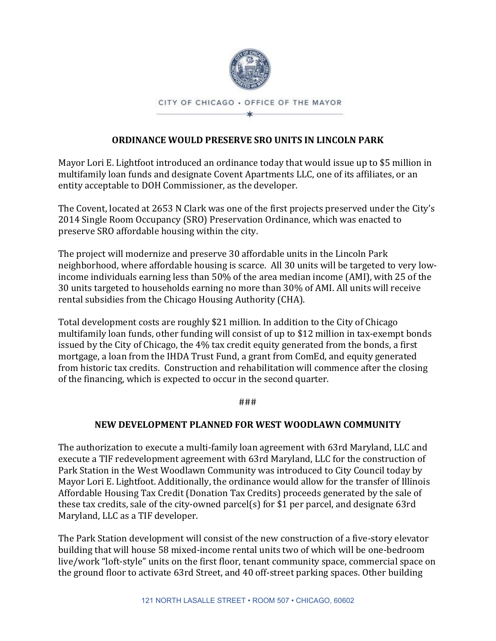

# **ORDINANCE WOULD PRESERVE SRO UNITS IN LINCOLN PARK**

Mayor Lori E. Lightfoot introduced an ordinance today that would issue up to \$5 million in multifamily loan funds and designate Covent Apartments LLC, one of its affiliates, or an entity acceptable to DOH Commissioner, as the developer.

The Covent, located at 2653 N Clark was one of the first projects preserved under the City's 2014 Single Room Occupancy (SRO) Preservation Ordinance, which was enacted to preserve SRO affordable housing within the city.

The project will modernize and preserve 30 affordable units in the Lincoln Park neighborhood, where affordable housing is scarce. All 30 units will be targeted to very lowincome individuals earning less than 50% of the area median income (AMI), with 25 of the 30 units targeted to households earning no more than 30% of AMI. All units will receive rental subsidies from the Chicago Housing Authority (CHA).

Total development costs are roughly \$21 million. In addition to the City of Chicago multifamily loan funds, other funding will consist of up to \$12 million in tax-exempt bonds issued by the City of Chicago, the 4% tax credit equity generated from the bonds, a first mortgage, a loan from the IHDA Trust Fund, a grant from ComEd, and equity generated from historic tax credits. Construction and rehabilitation will commence after the closing of the financing, which is expected to occur in the second quarter.

###

# **NEW DEVELOPMENT PLANNED FOR WEST WOODLAWN COMMUNITY**

The authorization to execute a multi-family loan agreement with 63rd Maryland, LLC and execute a TIF redevelopment agreement with 63rd Maryland, LLC for the construction of Park Station in the West Woodlawn Community was introduced to City Council today by Mayor Lori E. Lightfoot. Additionally, the ordinance would allow for the transfer of Illinois Affordable Housing Tax Credit (Donation Tax Credits) proceeds generated by the sale of these tax credits, sale of the city-owned parcel(s) for \$1 per parcel, and designate 63rd Maryland, LLC as a TIF developer.

The Park Station development will consist of the new construction of a five-story elevator building that will house 58 mixed-income rental units two of which will be one-bedroom live/work "loft-style" units on the first floor, tenant community space, commercial space on the ground floor to activate 63rd Street, and 40 off-street parking spaces. Other building